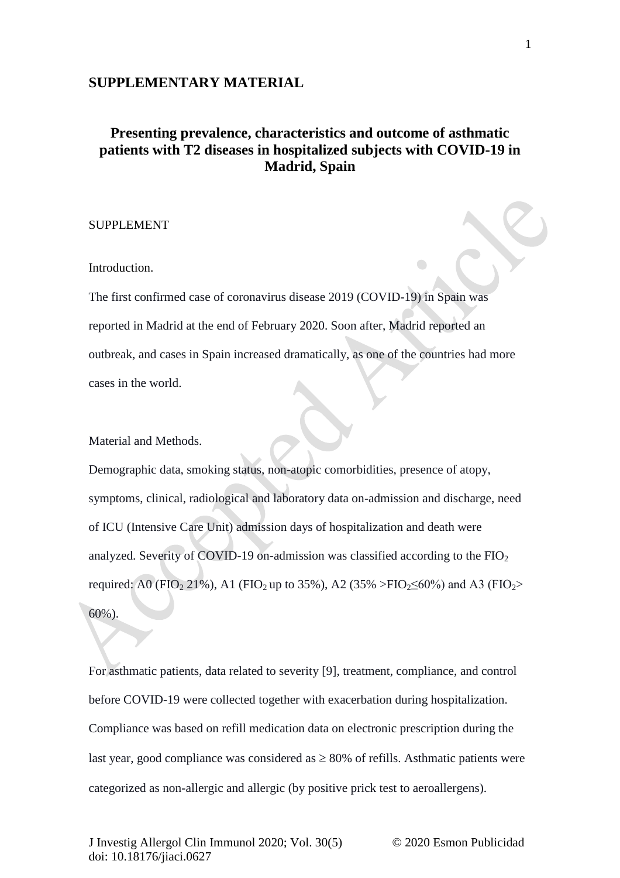## **SUPPLEMENTARY MATERIAL**

## **Presenting prevalence, characteristics and outcome of asthmatic patients with T2 diseases in hospitalized subjects with COVID-19 in Madrid, Spain**

## SUPPLEMENT

## Introduction.

The first confirmed case of coronavirus disease 2019 (COVID-19) in Spain was reported in Madrid at the end of February 2020. Soon after, Madrid reported an outbreak, and cases in Spain increased dramatically, as one of the countries had more cases in the world.

Material and Methods.

Demographic data, smoking status, non-atopic comorbidities, presence of atopy, symptoms, clinical, radiological and laboratory data on-admission and discharge, need of ICU (Intensive Care Unit) admission days of hospitalization and death were analyzed. Severity of COVID-19 on-admission was classified according to the  $FIO<sub>2</sub>$ required: A0 (FIO<sub>2</sub> 21%), A1 (FIO<sub>2</sub> up to 35%), A2 (35% >FIO<sub>2</sub> ≤60%) and A3 (FIO<sub>2</sub>> 60%).

For asthmatic patients, data related to severity [9], treatment, compliance, and control before COVID-19 were collected together with exacerbation during hospitalization. Compliance was based on refill medication data on electronic prescription during the last year, good compliance was considered as  $\geq 80\%$  of refills. Asthmatic patients were categorized as non-allergic and allergic (by positive prick test to aeroallergens).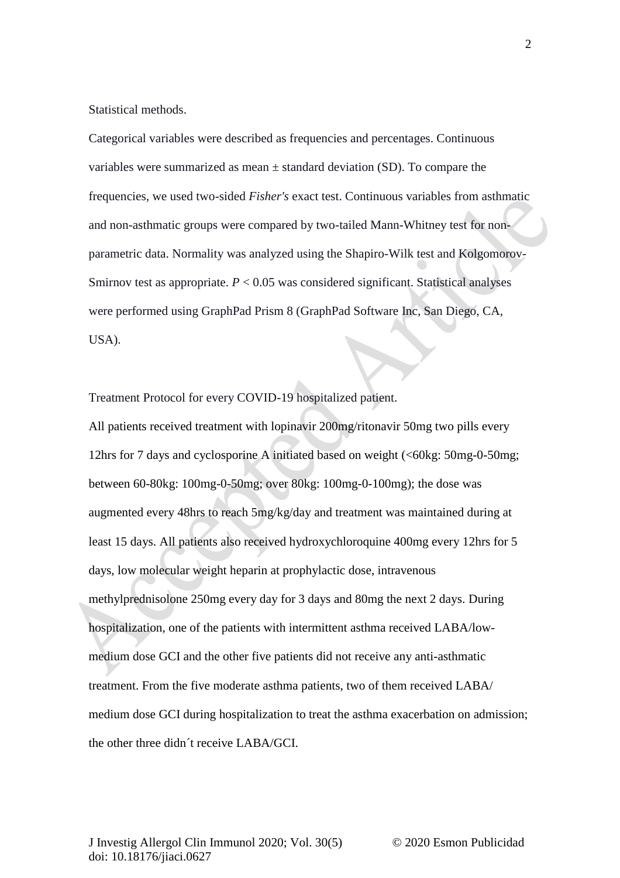Statistical methods.

Categorical variables were described as frequencies and percentages. Continuous variables were summarized as mean  $\pm$  standard deviation (SD). To compare the frequencies, we used two-sided *Fisher's* exact test. Continuous variables from asthmatic and non-asthmatic groups were compared by two-tailed Mann-Whitney test for nonparametric data. Normality was analyzed using the Shapiro-Wilk test and Kolgomorov-Smirnov test as appropriate.  $P < 0.05$  was considered significant. Statistical analyses were performed using GraphPad Prism 8 (GraphPad Software Inc, San Diego, CA, USA).

Treatment Protocol for every COVID-19 hospitalized patient.

All patients received treatment with lopinavir 200mg/ritonavir 50mg two pills every 12hrs for 7 days and cyclosporine A initiated based on weight (<60kg: 50mg-0-50mg; between 60-80kg: 100mg-0-50mg; over 80kg: 100mg-0-100mg); the dose was augmented every 48hrs to reach 5mg/kg/day and treatment was maintained during at least 15 days. All patients also received hydroxychloroquine 400mg every 12hrs for 5 days, low molecular weight heparin at prophylactic dose, intravenous methylprednisolone 250mg every day for 3 days and 80mg the next 2 days. During hospitalization, one of the patients with intermittent asthma received LABA/lowmedium dose GCI and the other five patients did not receive any anti-asthmatic treatment. From the five moderate asthma patients, two of them received LABA/ medium dose GCI during hospitalization to treat the asthma exacerbation on admission; the other three didn´t receive LABA/GCI.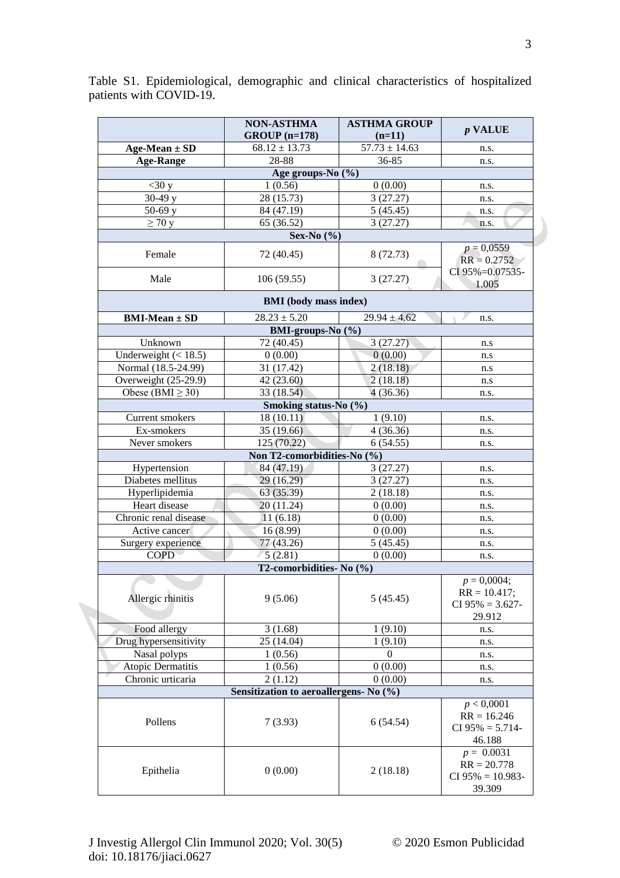|                        | <b>NON-ASTHMA</b>                      | <b>ASTHMA GROUP</b> | $p$ VALUE                                                       |  |  |
|------------------------|----------------------------------------|---------------------|-----------------------------------------------------------------|--|--|
|                        | $GROUP$ $(n=178)$                      | $(n=11)$            |                                                                 |  |  |
| Age-Mean $\pm$ SD      | $68.12 \pm 13.73$                      | $57.73 \pm 14.63$   | n.s.                                                            |  |  |
| <b>Age-Range</b>       | 28-88                                  | 36-85               | n.s.                                                            |  |  |
| Age groups-No (%)      |                                        |                     |                                                                 |  |  |
| $<$ 30 y               | 1(0.56)                                | 0(0.00)             | n.s.                                                            |  |  |
| $30-49y$               | 28 (15.73)                             | 3(27.27)            | n.s.                                                            |  |  |
| $50-69y$               | 84 (47.19)                             | 5(45.45)            | n.s.                                                            |  |  |
| $\geq 70$ y            | 65 (36.52)                             | 3(27.27)            | n.s.                                                            |  |  |
| Sex-No $(\% )$         |                                        |                     |                                                                 |  |  |
| Female                 | 72 (40.45)                             | 8 (72.73)           | $p = 0,0559$<br>$RR = 0.2752$                                   |  |  |
| Male                   | 106(59.55)                             | 3(27.27)            | CI 95%=0.07535-<br>1.005                                        |  |  |
|                        | <b>BMI</b> (body mass index)           |                     |                                                                 |  |  |
| $BMI-Mean \pm SD$      | $28.23 \pm 5.20$                       | $29.94 \pm 4.62$    | n.s.                                                            |  |  |
|                        | BMI-groups-No (%)                      |                     |                                                                 |  |  |
| Unknown                | 72 (40.45)                             | 3(27.27)            | n.s                                                             |  |  |
| Underweight $(< 18.5)$ | 0(0.00)                                | 0(0.00)             | n.s                                                             |  |  |
| Normal (18.5-24.99)    | 31 (17.42)                             | 2(18.18)            | n.s                                                             |  |  |
| Overweight $(25-29.9)$ | 42 (23.60)                             | 2(18.18)            | n.s                                                             |  |  |
| Obese (BMI $\geq$ 30)  | 33 (18.54)                             | 4(36.36)            | n.s.                                                            |  |  |
|                        | Smoking status-No (%)                  |                     |                                                                 |  |  |
| Current smokers        | 18 (10.11)                             | 1(9.10)             | n.s.                                                            |  |  |
| Ex-smokers             | 35(19.66)                              | 4(36.36)            | n.s.                                                            |  |  |
| Never smokers          | 125(70.22)                             | 6(54.55)            | n.s.                                                            |  |  |
|                        | Non T2-comorbidities-No (%)            |                     |                                                                 |  |  |
| Hypertension           | 84 (47.19)                             | 3(27.27)            | n.s.                                                            |  |  |
| Diabetes mellitus      | 29 (16.29)                             | 3(27.27)            | n.s.                                                            |  |  |
| Hyperlipidemia         | 63 (35.39)                             | 2(18.18)            | n.s.                                                            |  |  |
| Heart disease          | 20 (11.24)                             | 0(0.00)             | n.s.                                                            |  |  |
| Chronic renal disease  | 11(6.18)                               | 0(0.00)             | n.s.                                                            |  |  |
| Active cancer          | 16 (8.99)                              | 0(0.00)             | n.s.                                                            |  |  |
| Surgery experience     | 77 (43.26)                             | 5(45.45)            | n.s.                                                            |  |  |
| <b>COPD</b>            | 5(2.81)                                | 0(0.00)             | n.s.                                                            |  |  |
|                        | T2-comorbidities- No (%)               |                     |                                                                 |  |  |
|                        |                                        |                     | $p = 0,0004;$                                                   |  |  |
| Allergic rhinitis      | 9(5.06)                                | 5(45.45)            | $RR = 10.417;$<br>$CI 95\% = 3.627$ -<br>29.912                 |  |  |
| Food allergy           | 3(1.68)                                | 1(9.10)             | n.s.                                                            |  |  |
| Drug hypersensitivity  | 25 (14.04)                             | 1(9.10)             | n.s.                                                            |  |  |
| Nasal polyps           | 1(0.56)                                | $\theta$            | n.s.                                                            |  |  |
| Atopic Dermatitis      | 1(0.56)                                | 0(0.00)             | n.s.                                                            |  |  |
| Chronic urticaria      | 2(1.12)                                | 0(0.00)             | n.s.                                                            |  |  |
|                        | Sensitization to aeroallergens- No (%) |                     |                                                                 |  |  |
| Pollens                | 7(3.93)                                | 6(54.54)            | p < 0,0001<br>$RR = 16.246$<br>$CI 95\% = 5.714$ -<br>46.188    |  |  |
| Epithelia              | 0(0.00)                                | 2(18.18)            | $p = 0.0031$<br>$RR = 20.778$<br>$CI 95\% = 10.983$ -<br>39.309 |  |  |

Table S1. Epidemiological, demographic and clinical characteristics of hospitalized patients with COVID-19.